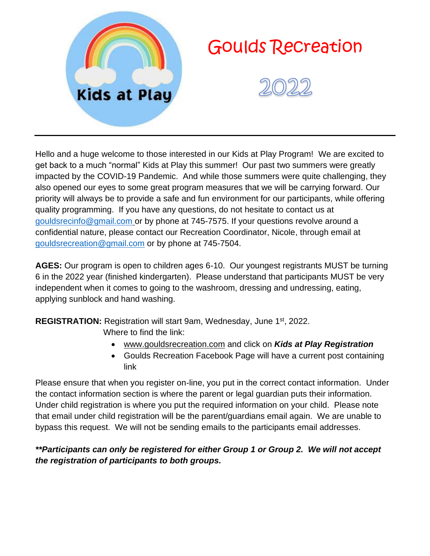

# Goulds Recreation



Hello and a huge welcome to those interested in our Kids at Play Program! We are excited to get back to a much "normal" Kids at Play this summer! Our past two summers were greatly impacted by the COVID-19 Pandemic. And while those summers were quite challenging, they also opened our eyes to some great program measures that we will be carrying forward. Our priority will always be to provide a safe and fun environment for our participants, while offering quality programming. If you have any questions, do not hesitate to contact us at [gouldsrecinfo@gmail.com](mailto:gouldsrecinfo@gmail.com) or by phone at 745-7575. If your questions revolve around a confidential nature, please contact our Recreation Coordinator, Nicole, through email at [gouldsrecreation@gmail.com](mailto:gouldsrecreation@gmail.com) or by phone at 745-7504.

**AGES:** Our program is open to children ages 6-10. Our youngest registrants MUST be turning 6 in the 2022 year (finished kindergarten). Please understand that participants MUST be very independent when it comes to going to the washroom, dressing and undressing, eating, applying sunblock and hand washing.

**REGISTRATION:** Registration will start 9am, Wednesday, June 1st, 2022. Where to find the link:

- [www.gouldsrecreation.com](http://www.gouldsrecreation.com/) and click on *Kids at Play Registration*
- Goulds Recreation Facebook Page will have a current post containing link

Please ensure that when you register on-line, you put in the correct contact information. Under the contact information section is where the parent or legal guardian puts their information. Under child registration is where you put the required information on your child. Please note that email under child registration will be the parent/guardians email again. We are unable to bypass this request. We will not be sending emails to the participants email addresses.

#### *\*\*Participants can only be registered for either Group 1 or Group 2. We will not accept the registration of participants to both groups.*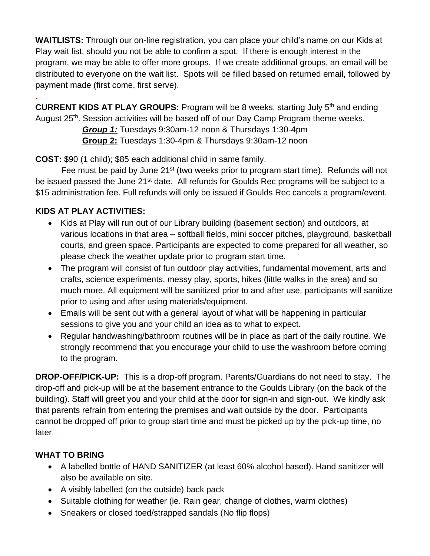**WAITLISTS:** Through our on-line registration, you can place your child's name on our Kids at Play wait list, should you not be able to confirm a spot. If there is enough interest in the program, we may be able to offer more groups. If we create additional groups, an email will be distributed to everyone on the wait list. Spots will be filled based on returned email, followed by payment made (first come, first serve).

**CURRENT KIDS AT PLAY GROUPS:** Program will be 8 weeks, starting July 5th and ending August 25<sup>th</sup>. Session activities will be based off of our Day Camp Program theme weeks.

> *Group 1:* Tuesdays 9:30am-12 noon & Thursdays 1:30-4pm **Group 2:** Tuesdays 1:30-4pm & Thursdays 9:30am-12 noon

**COST:** \$90 (1 child); \$85 each additional child in same family.

Fee must be paid by June 21<sup>st</sup> (two weeks prior to program start time). Refunds will not be issued passed the June 21<sup>st</sup> date. All refunds for Goulds Rec programs will be subject to a \$15 administration fee. Full refunds will only be issued if Goulds Rec cancels a program/event.

# **KIDS AT PLAY ACTIVITIES:**

.

- Kids at Play will run out of our Library building (basement section) and outdoors, at various locations in that area – softball fields, mini soccer pitches, playground, basketball courts, and green space. Participants are expected to come prepared for all weather, so please check the weather update prior to program start time.
- The program will consist of fun outdoor play activities, fundamental movement, arts and crafts, science experiments, messy play, sports, hikes (little walks in the area) and so much more. All equipment will be sanitized prior to and after use, participants will sanitize prior to using and after using materials/equipment.
- Emails will be sent out with a general layout of what will be happening in particular sessions to give you and your child an idea as to what to expect.
- Regular handwashing/bathroom routines will be in place as part of the daily routine. We strongly recommend that you encourage your child to use the washroom before coming to the program.

**DROP-OFF/PICK-UP:** This is a drop-off program. Parents/Guardians do not need to stay. The drop-off and pick-up will be at the basement entrance to the Goulds Library (on the back of the building). Staff will greet you and your child at the door for sign-in and sign-out. We kindly ask that parents refrain from entering the premises and wait outside by the door. Participants cannot be dropped off prior to group start time and must be picked up by the pick-up time, no later.

## **WHAT TO BRING**

- A labelled bottle of HAND SANITIZER (at least 60% alcohol based). Hand sanitizer will also be available on site.
- A visibly labelled (on the outside) back pack
- Suitable clothing for weather (ie. Rain gear, change of clothes, warm clothes)
- Sneakers or closed toed/strapped sandals (No flip flops)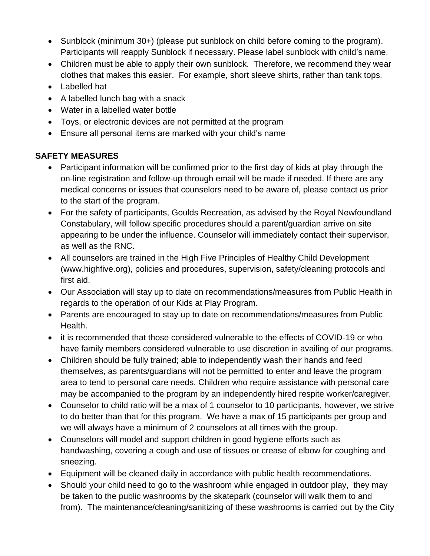- Sunblock (minimum 30+) (please put sunblock on child before coming to the program). Participants will reapply Sunblock if necessary. Please label sunblock with child's name.
- Children must be able to apply their own sunblock. Therefore, we recommend they wear clothes that makes this easier. For example, short sleeve shirts, rather than tank tops.
- Labelled hat
- A labelled lunch bag with a snack
- Water in a labelled water bottle
- Toys, or electronic devices are not permitted at the program
- Ensure all personal items are marked with your child's name

## **SAFETY MEASURES**

- Participant information will be confirmed prior to the first day of kids at play through the on-line registration and follow-up through email will be made if needed. If there are any medical concerns or issues that counselors need to be aware of, please contact us prior to the start of the program.
- For the safety of participants, Goulds Recreation, as advised by the Royal Newfoundland Constabulary, will follow specific procedures should a parent/guardian arrive on site appearing to be under the influence. Counselor will immediately contact their supervisor, as well as the RNC.
- All counselors are trained in the High Five Principles of Healthy Child Development [\(www.highfive.org\)](http://www.highfive.org/), policies and procedures, supervision, safety/cleaning protocols and first aid.
- Our Association will stay up to date on recommendations/measures from Public Health in regards to the operation of our Kids at Play Program.
- Parents are encouraged to stay up to date on recommendations/measures from Public Health.
- it is recommended that those considered vulnerable to the effects of COVID-19 or who have family members considered vulnerable to use discretion in availing of our programs.
- Children should be fully trained; able to independently wash their hands and feed themselves, as parents/guardians will not be permitted to enter and leave the program area to tend to personal care needs. Children who require assistance with personal care may be accompanied to the program by an independently hired respite worker/caregiver.
- Counselor to child ratio will be a max of 1 counselor to 10 participants, however, we strive to do better than that for this program. We have a max of 15 participants per group and we will always have a minimum of 2 counselors at all times with the group.
- Counselors will model and support children in good hygiene efforts such as handwashing, covering a cough and use of tissues or crease of elbow for coughing and sneezing.
- Equipment will be cleaned daily in accordance with public health recommendations.
- Should your child need to go to the washroom while engaged in outdoor play, they may be taken to the public washrooms by the skatepark (counselor will walk them to and from). The maintenance/cleaning/sanitizing of these washrooms is carried out by the City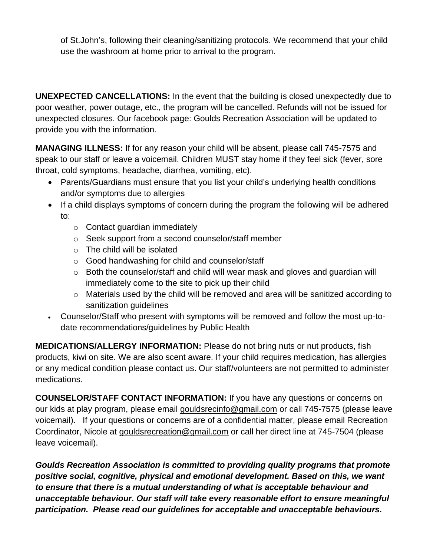of St.John's, following their cleaning/sanitizing protocols. We recommend that your child use the washroom at home prior to arrival to the program.

**UNEXPECTED CANCELLATIONS:** In the event that the building is closed unexpectedly due to poor weather, power outage, etc., the program will be cancelled. Refunds will not be issued for unexpected closures. Our facebook page: Goulds Recreation Association will be updated to provide you with the information.

**MANAGING ILLNESS:** If for any reason your child will be absent, please call 745-7575 and speak to our staff or leave a voicemail. Children MUST stay home if they feel sick (fever, sore throat, cold symptoms, headache, diarrhea, vomiting, etc).

- Parents/Guardians must ensure that you list your child's underlying health conditions and/or symptoms due to allergies
- If a child displays symptoms of concern during the program the following will be adhered to:
	- o Contact guardian immediately
	- o Seek support from a second counselor/staff member
	- o The child will be isolated
	- o Good handwashing for child and counselor/staff
	- o Both the counselor/staff and child will wear mask and gloves and guardian will immediately come to the site to pick up their child
	- o Materials used by the child will be removed and area will be sanitized according to sanitization guidelines
- Counselor/Staff who present with symptoms will be removed and follow the most up-todate recommendations/guidelines by Public Health

**MEDICATIONS/ALLERGY INFORMATION:** Please do not bring nuts or nut products, fish products, kiwi on site. We are also scent aware. If your child requires medication, has allergies or any medical condition please contact us. Our staff/volunteers are not permitted to administer medications.

**COUNSELOR/STAFF CONTACT INFORMATION:** If you have any questions or concerns on our kids at play program, please email [gouldsrecinfo@gmail.com](mailto:gouldsrecinfo@gmail.com) or call 745-7575 (please leave voicemail). If your questions or concerns are of a confidential matter, please email Recreation Coordinator, Nicole at [gouldsrecreation@gmail.com](mailto:gouldsrecreation@gmail.com) or call her direct line at 745-7504 (please leave voicemail).

*Goulds Recreation Association is committed to providing quality programs that promote positive social, cognitive, physical and emotional development. Based on this, we want to ensure that there is a mutual understanding of what is acceptable behaviour and unacceptable behaviour. Our staff will take every reasonable effort to ensure meaningful participation. Please read our guidelines for acceptable and unacceptable behaviours.*